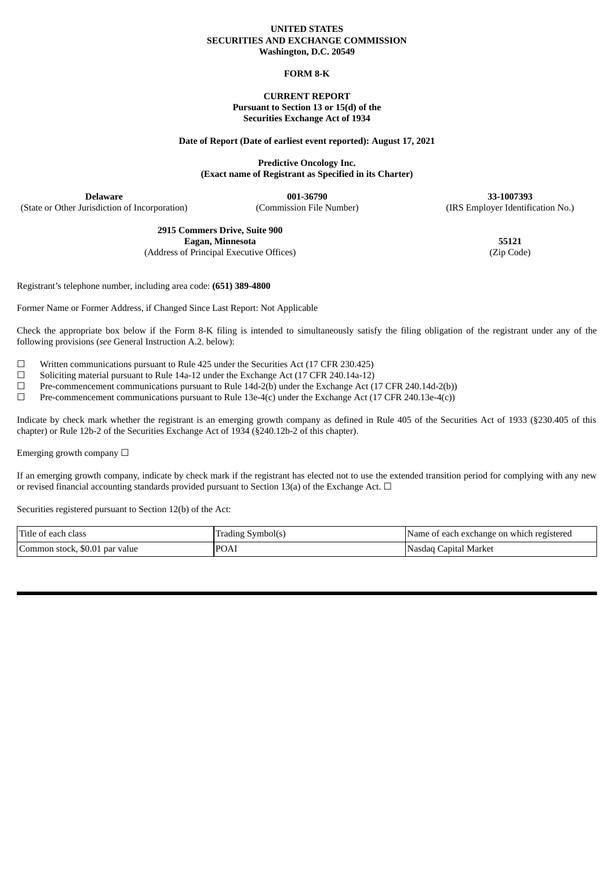#### **UNITED STATES SECURITIES AND EXCHANGE COMMISSION Washington, D.C. 20549**

## **FORM 8-K**

## **CURRENT REPORT Pursuant to Section 13 or 15(d) of the Securities Exchange Act of 1934**

#### **Date of Report (Date of earliest event reported): August 17, 2021**

**Predictive Oncology Inc. (Exact name of Registrant as Specified in its Charter)**

**Delaware 001-36790 33-1007393** (State or Other Jurisdiction of Incorporation) (Commission File Number) (IRS Employer Identification No.)

> **2915 Commers Drive, Suite 900 Eagan, Minnesota 55121**

(Address of Principal Executive Offices) (Zip Code)

Registrant's telephone number, including area code: **(651) 389-4800**

Former Name or Former Address, if Changed Since Last Report: Not Applicable

Check the appropriate box below if the Form 8-K filing is intended to simultaneously satisfy the filing obligation of the registrant under any of the following provisions (*see* General Instruction A.2. below):

 $\Box$  Written communications pursuant to Rule 425 under the Securities Act (17 CFR 230.425)

- ☐ Soliciting material pursuant to Rule 14a-12 under the Exchange Act (17 CFR 240.14a-12)
- $\Box$  Pre-commencement communications pursuant to Rule 14d-2(b) under the Exchange Act (17 CFR 240.14d-2(b))
- $□$  Pre-commencement communications pursuant to Rule 13e-4(c) under the Exchange Act (17 CFR 240.13e-4(c))

Indicate by check mark whether the registrant is an emerging growth company as defined in Rule 405 of the Securities Act of 1933 (§230.405 of this chapter) or Rule 12b-2 of the Securities Exchange Act of 1934 (§240.12b-2 of this chapter).

Emerging growth company  $\Box$ 

If an emerging growth company, indicate by check mark if the registrant has elected not to use the extended transition period for complying with any new or revised financial accounting standards provided pursuant to Section 13(a) of the Exchange Act.  $\Box$ 

Securities registered pursuant to Section 12(b) of the Act:

| Title of each class            | Trading Symbol(s) | IName of each exchange on which registered |
|--------------------------------|-------------------|--------------------------------------------|
| Common stock, \$0.01 par value | POAI              | Nasdaq Capital Market                      |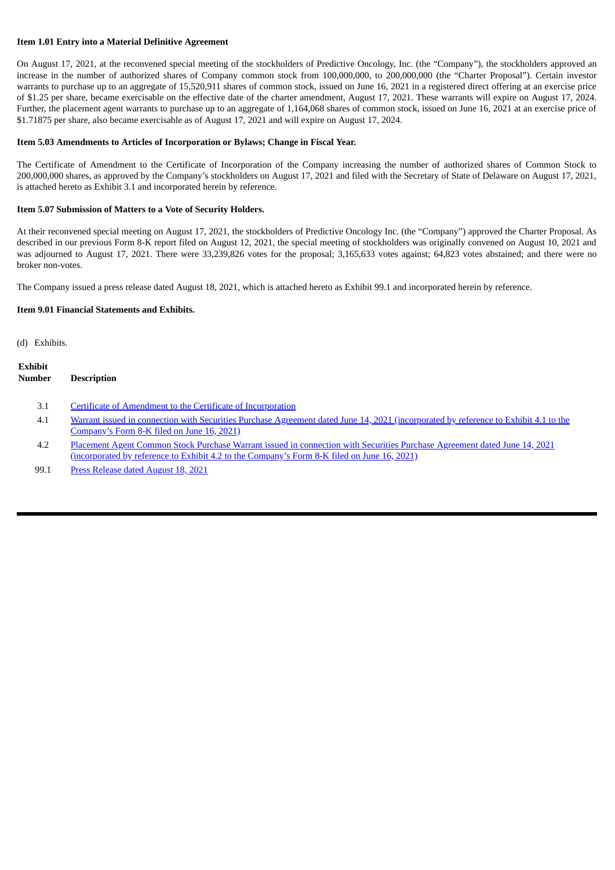## **Item 1.01 Entry into a Material Definitive Agreement**

On August 17, 2021, at the reconvened special meeting of the stockholders of Predictive Oncology, Inc. (the "Company"), the stockholders approved an increase in the number of authorized shares of Company common stock from 100,000,000, to 200,000,000 (the "Charter Proposal"). Certain investor warrants to purchase up to an aggregate of 15,520,911 shares of common stock, issued on June 16, 2021 in a registered direct offering at an exercise price of \$1.25 per share, became exercisable on the effective date of the charter amendment, August 17, 2021. These warrants will expire on August 17, 2024. Further, the placement agent warrants to purchase up to an aggregate of 1,164,068 shares of common stock, issued on June 16, 2021 at an exercise price of \$1.71875 per share, also became exercisable as of August 17, 2021 and will expire on August 17, 2024.

## **Item 5.03 Amendments to Articles of Incorporation or Bylaws; Change in Fiscal Year.**

The Certificate of Amendment to the Certificate of Incorporation of the Company increasing the number of authorized shares of Common Stock to 200,000,000 shares, as approved by the Company's stockholders on August 17, 2021 and filed with the Secretary of State of Delaware on August 17, 2021, is attached hereto as Exhibit 3.1 and incorporated herein by reference.

## **Item 5.07 Submission of Matters to a Vote of Security Holders.**

At their reconvened special meeting on August 17, 2021, the stockholders of Predictive Oncology Inc. (the "Company") approved the Charter Proposal. As described in our previous Form 8-K report filed on August 12, 2021, the special meeting of stockholders was originally convened on August 10, 2021 and was adjourned to August 17, 2021. There were 33,239,826 votes for the proposal; 3,165,633 votes against; 64,823 votes abstained; and there were no broker non-votes.

The Company issued a press release dated August 18, 2021, which is attached hereto as Exhibit 99.1 and incorporated herein by reference.

#### **Item 9.01 Financial Statements and Exhibits.**

(d) Exhibits.

| Exhibit |                    |  |
|---------|--------------------|--|
| Number  | <b>Description</b> |  |
|         |                    |  |

- 3.1 Certificate of Amendment to the Certificate of [Incorporation](#page-3-0)
- 4.1 Warrant issued in connection with Securities Purchase Agreement dated June 14, 2021 [\(incorporated](https://www.sec.gov/Archives/edgar/data/1446159/000117184321004367/exh_41.htm) by reference to Exhibit 4.1 to the Company's Form 8-K filed on June 16, 2021)
- 4.2 Placement Agent Common Stock Purchase Warrant issued in connection with Securities Purchase Agreement dated June 14, 2021 [\(incorporated](https://www.sec.gov/Archives/edgar/data/1446159/000117184321004367/exh_42.htm) by reference to Exhibit 4.2 to the Company's Form 8-K filed on June 16, 2021)
- 99.1 Press [Release](#page-4-0) dated August 18, 2021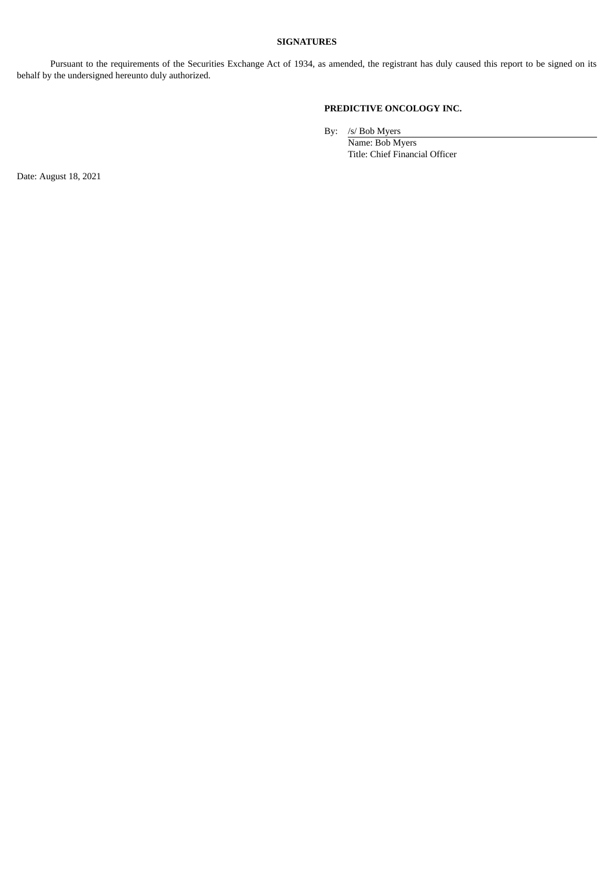# **SIGNATURES**

Pursuant to the requirements of the Securities Exchange Act of 1934, as amended, the registrant has duly caused this report to be signed on its behalf by the undersigned hereunto duly authorized.

# **PREDICTIVE ONCOLOGY INC.**

By: /s/ Bob Myers

Name: Bob Myers Title: Chief Financial Officer

Date: August 18, 2021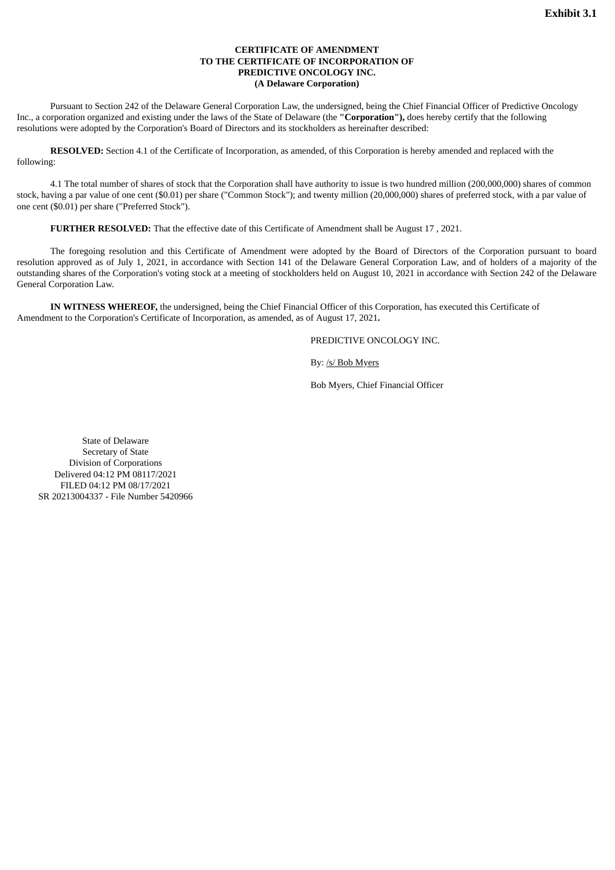## **CERTIFICATE OF AMENDMENT TO THE CERTIFICATE OF INCORPORATION OF PREDICTIVE ONCOLOGY INC. (A Delaware Corporation)**

<span id="page-3-0"></span>Pursuant to Section 242 of the Delaware General Corporation Law, the undersigned, being the Chief Financial Officer of Predictive Oncology Inc., a corporation organized and existing under the laws of the State of Delaware (the **"Corporation"),** does hereby certify that the following resolutions were adopted by the Corporation's Board of Directors and its stockholders as hereinafter described:

**RESOLVED:** Section 4.1 of the Certificate of Incorporation, as amended, of this Corporation is hereby amended and replaced with the following:

4.1 The total number of shares of stock that the Corporation shall have authority to issue is two hundred million (200,000,000) shares of common stock, having a par value of one cent (\$0.01) per share ("Common Stock"); and twenty million (20,000,000) shares of preferred stock, with a par value of one cent (\$0.01) per share ("Preferred Stock").

**FURTHER RESOLVED:** That the effective date of this Certificate of Amendment shall be August 17 , 2021.

The foregoing resolution and this Certificate of Amendment were adopted by the Board of Directors of the Corporation pursuant to board resolution approved as of July 1, 2021, in accordance with Section 141 of the Delaware General Corporation Law, and of holders of a majority of the outstanding shares of the Corporation's voting stock at a meeting of stockholders held on August 10, 2021 in accordance with Section 242 of the Delaware General Corporation Law.

**IN WITNESS WHEREOF,** the undersigned, being the Chief Financial Officer of this Corporation, has executed this Certificate of Amendment to the Corporation's Certificate of Incorporation, as amended, as of August 17, 2021**.**

PREDICTIVE ONCOLOGY INC.

By: /s/ Bob Myers

Bob Myers, Chief Financial Officer

State of Delaware Secretary of State Division of Corporations Delivered 04:12 PM 08117/2021 FILED 04:12 PM 08/17/2021 SR 20213004337 - File Number 5420966